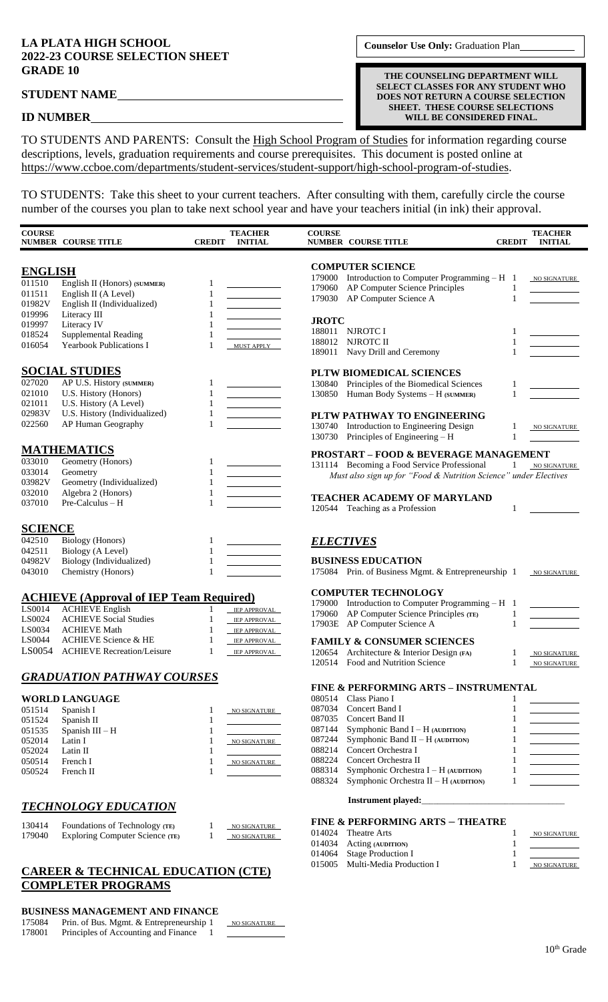# **LA PLATA HIGH SCHOOL**

### **ID NUMBER**

TO STUDENTS AND PARENTS: Consult the High School Program of Studies for information regarding course descriptions, levels, graduation requirements and course prerequisites. This document is posted online at https://www.ccboe.com/departments/student-services/student-support/high-school-program-of-studies.

TO STUDENTS: Take this sheet to your current teachers. After consulting with them, carefully circle the course number of the courses you plan to take next school year and have your teachers initial (in ink) their approval.

| <b>COURSE</b>    | <b>NUMBER COURSE TITLE</b>                           | <b>CREDIT</b> | <b>TEACHER</b><br><b>INITIAL</b> | <b>COURSE</b><br><b>NUMBER COURSE TITLE</b>                                                 | <b>CREDIT</b> | <b>TEACHER</b><br><b>INITIAL</b>                                                   |
|------------------|------------------------------------------------------|---------------|----------------------------------|---------------------------------------------------------------------------------------------|---------------|------------------------------------------------------------------------------------|
| <b>ENGLISH</b>   |                                                      |               |                                  | <b>COMPUTER SCIENCE</b>                                                                     |               |                                                                                    |
| 011510           | English II (Honors) (SUMMER)                         |               |                                  | 179000 Introduction to Computer Programming $- H$ 1                                         |               | NO SIGNATURE                                                                       |
| 011511           | English II (A Level)                                 | 1             |                                  | AP Computer Science Principles<br>179060<br>AP Computer Science A<br>179030                 | 1<br>1        |                                                                                    |
| 01982V           | English II (Individualized)                          | 1             |                                  |                                                                                             |               |                                                                                    |
| 019996           | Literacy III                                         |               |                                  | <b>JROTC</b>                                                                                |               |                                                                                    |
| 019997           | Literacy IV<br><b>Supplemental Reading</b>           |               |                                  | 188011<br>NJROTC I                                                                          | 1             |                                                                                    |
| 018524<br>016054 | <b>Yearbook Publications I</b>                       | 1<br>1        | <b>MUST APPLY</b>                | 188012<br>NJROTC II                                                                         | 1             |                                                                                    |
|                  |                                                      |               |                                  | 189011 Navy Drill and Ceremony                                                              | 1             |                                                                                    |
|                  | <b>SOCIAL STUDIES</b>                                |               |                                  | PLTW BIOMEDICAL SCIENCES                                                                    |               |                                                                                    |
| 027020           | AP U.S. History (SUMMER)                             | 1             |                                  | 130840<br>Principles of the Biomedical Sciences                                             | 1             |                                                                                    |
| 021010           | U.S. History (Honors)                                | 1             |                                  | 130850 Human Body Systems - H (SUMMER)                                                      | 1             |                                                                                    |
| 021011           | U.S. History (A Level)                               | $\mathbf{1}$  |                                  |                                                                                             |               |                                                                                    |
| 02983V           | U.S. History (Individualized)                        | 1             |                                  | PLTW PATHWAY TO ENGINEERING                                                                 |               |                                                                                    |
| 022560           | AP Human Geography                                   | 1             |                                  | 130740 Introduction to Engineering Design                                                   | 1             | NO SIGNATURE                                                                       |
|                  |                                                      |               |                                  | 130730 Principles of Engineering – H                                                        | 1             |                                                                                    |
|                  | <b>MATHEMATICS</b>                                   |               |                                  | <b>PROSTART - FOOD &amp; BEVERAGE MANAGEMENT</b>                                            |               |                                                                                    |
| 033010           | Geometry (Honors)                                    | 1             |                                  | 131114 Becoming a Food Service Professional                                                 | 1             | NO SIGNATURE                                                                       |
| 033014           | Geometry                                             | 1             |                                  | Must also sign up for "Food & Nutrition Science" under Electives                            |               |                                                                                    |
| 03982V<br>032010 | Geometry (Individualized)<br>Algebra 2 (Honors)      | 1<br>1        |                                  |                                                                                             |               |                                                                                    |
| 037010           | Pre-Calculus - H                                     |               |                                  | <b>TEACHER ACADEMY OF MARYLAND</b>                                                          |               |                                                                                    |
|                  |                                                      |               |                                  | 120544 Teaching as a Profession                                                             | 1             |                                                                                    |
| <b>SCIENCE</b>   |                                                      |               |                                  |                                                                                             |               |                                                                                    |
| 042510           | <b>Biology</b> (Honors)                              | 1             |                                  | <b>ELECTIVES</b>                                                                            |               |                                                                                    |
| 042511           | Biology (A Level)                                    | 1             |                                  |                                                                                             |               |                                                                                    |
| 04982V           | Biology (Individualized)                             | $\mathbf{1}$  |                                  | <b>BUSINESS EDUCATION</b>                                                                   |               |                                                                                    |
| 043010           | Chemistry (Honors)                                   | 1             |                                  | 175084 Prin. of Business Mgmt. & Entrepreneurship 1                                         |               | NO SIGNATURE                                                                       |
|                  |                                                      |               |                                  | <b>COMPUTER TECHNOLOGY</b>                                                                  |               |                                                                                    |
|                  | <b>ACHIEVE (Approval of IEP Team Required)</b>       |               |                                  | 179000 Introduction to Computer Programming $- H$ 1                                         |               |                                                                                    |
| LS0014           | <b>ACHIEVE English</b>                               | 1             | IEP APPROVAL                     | AP Computer Science Principles (TE)<br>179060                                               | 1             |                                                                                    |
| LS0024<br>LS0034 | <b>ACHIEVE Social Studies</b><br><b>ACHIEVE Math</b> | 1<br>1        | IEP APPROVAL                     | 17903E AP Computer Science A                                                                | $\mathbf{1}$  |                                                                                    |
| LS0044           | <b>ACHIEVE Science &amp; HE</b>                      | 1             | IEP APPROVAL<br>IEP APPROVAL     | <b>FAMILY &amp; CONSUMER SCIENCES</b>                                                       |               |                                                                                    |
| LS0054           | <b>ACHIEVE Recreation/Leisure</b>                    | 1             | IEP APPROVAL                     | Architecture & Interior Design (FA)<br>120654                                               | 1             |                                                                                    |
|                  |                                                      |               |                                  | 120514 Food and Nutrition Science                                                           | 1             | NO SIGNATURE<br>NO SIGNATURE                                                       |
|                  | <b>GRADUATION PATHWAY COURSES</b>                    |               |                                  |                                                                                             |               |                                                                                    |
|                  |                                                      |               |                                  | <b>FINE &amp; PERFORMING ARTS - INSTRUMENTAL</b>                                            |               |                                                                                    |
|                  | <b>WORLD LANGUAGE</b>                                |               |                                  | 080514<br>Class Piano I                                                                     |               |                                                                                    |
| 051514           | Spanish I                                            | 1             | NO SIGNATURE                     | 087034<br>Concert Band I                                                                    | 1             |                                                                                    |
| 051524           | Spanish II                                           | 1             |                                  | 087035<br>Concert Band II                                                                   | 1             |                                                                                    |
| 051535           | Spanish III - H                                      | 1             |                                  | 087144<br>Symphonic Band $I - H$ (AUDITION)<br>Symphonic Band $II - H$ (AUDITION)<br>087244 | 1<br>1        |                                                                                    |
| 052014<br>052024 | Latin I<br>Latin II                                  | 1             | NO SIGNATURE                     | Concert Orchestra I<br>088214                                                               | 1             | $\overline{\phantom{a}}$ and $\overline{\phantom{a}}$ and $\overline{\phantom{a}}$ |
| 050514           | French I                                             | 1             | NO SIGNATURE                     | 088224<br>Concert Orchestra II                                                              | 1             |                                                                                    |
| 050524           | French II                                            |               |                                  | Symphonic Orchestra I - H (AUDITION)<br>088314                                              | 1             |                                                                                    |
|                  |                                                      |               |                                  | 088324<br>Symphonic Orchestra II - H (AUDITION)                                             | 1             |                                                                                    |
|                  |                                                      |               |                                  | <b>Instrument played:</b>                                                                   |               |                                                                                    |
|                  | <b>TECHNOLOGY EDUCATION</b>                          |               |                                  |                                                                                             |               |                                                                                    |
| 130414           | Foundations of Technology (TE)                       | 1             | NO SIGNATURE                     | <b>FINE &amp; PERFORMING ARTS - THEATRE</b>                                                 |               |                                                                                    |
| 179040           | Exploring Computer Science (TE)                      | 1             | NO SIGNATURE                     | 014024<br>Theatre Arts                                                                      | 1             | NO SIGNATURE                                                                       |
|                  |                                                      |               |                                  | 014034<br>Acting (AUDITION)<br><b>Stage Production I</b><br>014064                          | 1<br>1        |                                                                                    |
|                  |                                                      |               |                                  | 015005<br>Multi-Media Production I                                                          | 1             | NO SIGNATURE                                                                       |
|                  | CAREER & TECHNICAL EDUCATION (CTE)                   |               |                                  |                                                                                             |               |                                                                                    |

## **CAREER & TECHNICAL EDUCATION (CTE) COMPLETER PROGRAMS**

## **BUSINESS MANAGEMENT AND FINANCE**

|        | DUSINESS MANAGEMENT AND FINANCE          |                     |
|--------|------------------------------------------|---------------------|
| 175084 | Prin. of Bus. Mgmt. & Entrepreneurship 1 | <b>NO SIGNATURE</b> |
| 178001 | Principles of Accounting and Finance     |                     |
|        |                                          |                     |

10<sup>th</sup> Grade

**Counselor Use Only:** Graduation Plan

**THE COUNSELING DEPARTMENT WILL SELECT CLASSES FOR ANY STUDENT WHO DOES NOT RETURN A COURSE SELECTION SHEET. THESE COURSE SELECTIONS WILL BE CONSIDERED FINAL.**

**2022-23 COURSE SELECTION SHEET GRADE 10**

**STUDENT NAME**